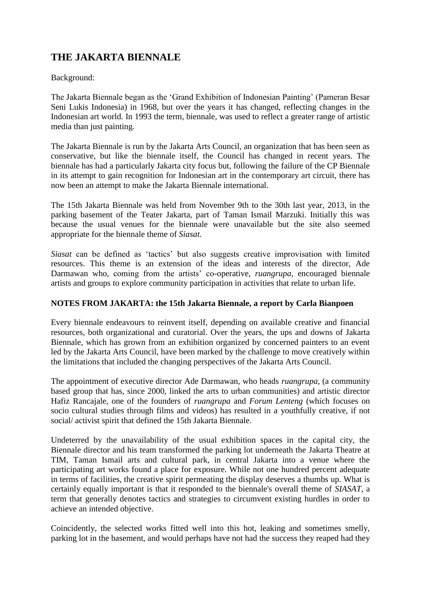## **THE JAKARTA BIENNALE**

## Background:

The Jakarta Biennale began as the 'Grand Exhibition of Indonesian Painting' (Pameran Besar Seni Lukis Indonesia) in 1968, but over the years it has changed, reflecting changes in the Indonesian art world. In 1993 the term, biennale, was used to reflect a greater range of artistic media than just painting.

The Jakarta Biennale is run by the Jakarta Arts Council, an organization that has been seen as conservative, but like the biennale itself, the Council has changed in recent years. The biennale has had a particularly Jakarta city focus but, following the failure of the CP Biennale in its attempt to gain recognition for Indonesian art in the contemporary art circuit, there has now been an attempt to make the Jakarta Biennale international.

The 15th Jakarta Biennale was held from November 9th to the 30th last year, 2013, in the parking basement of the Teater Jakarta, part of Taman Ismail Marzuki. Initially this was because the usual venues for the biennale were unavailable but the site also seemed appropriate for the biennale theme of *Siasat.*

*Siasat* can be defined as 'tactics' but also suggests creative improvisation with limited resources. This theme is an extension of the ideas and interests of the director, Ade Darmawan who, coming from the artists' co-operative, *ruangrupa,* encouraged biennale artists and groups to explore community participation in activities that relate to urban life.

## **NOTES FROM JAKARTA: the 15th Jakarta Biennale, a report by Carla Bianpoen**

Every biennale endeavours to reinvent itself, depending on available creative and financial resources, both organizational and curatorial. Over the years, the ups and downs of Jakarta Biennale, which has grown from an exhibition organized by concerned painters to an event led by the Jakarta Arts Council, have been marked by the challenge to move creatively within the limitations that included the changing perspectives of the Jakarta Arts Council.

The appointment of executive director Ade Darmawan, who heads *ruangrupa*, (a community based group that has, since 2000, linked the arts to urban communities) and artistic director Hafiz Rancajale, one of the founders of *ruangrupa* and *Forum Lenteng* (which focuses on socio cultural studies through films and videos) has resulted in a youthfully creative, if not social/ activist spirit that defined the 15th Jakarta Biennale.

Undeterred by the unavailability of the usual exhibition spaces in the capital city, the Biennale director and his team transformed the parking lot underneath the Jakarta Theatre at TIM, Taman Ismail arts and cultural park, in central Jakarta into a venue where the participating art works found a place for exposure. While not one hundred percent adequate in terms of facilities, the creative spirit permeating the display deserves a thumbs up. What is certainly equally important is that it responded to the biennale's overall theme of *SIASAT*, a term that generally denotes tactics and strategies to circumvent existing hurdles in order to achieve an intended objective.

Coincidently, the selected works fitted well into this hot, leaking and sometimes smelly, parking lot in the basement, and would perhaps have not had the success they reaped had they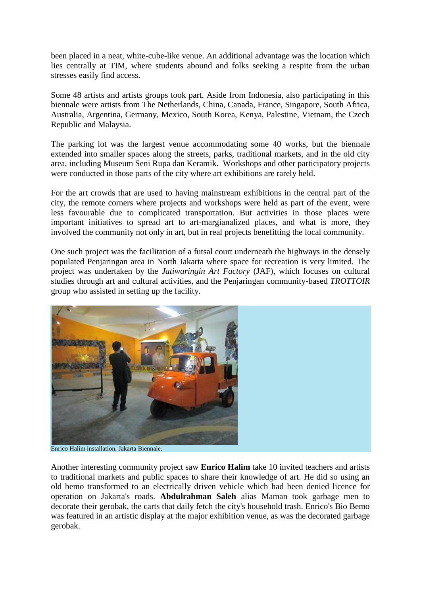been placed in a neat, white-cube-like venue. An additional advantage was the location which lies centrally at TIM, where students abound and folks seeking a respite from the urban stresses easily find access.

Some 48 artists and artists groups took part. Aside from Indonesia, also participating in this biennale were artists from The Netherlands, China, Canada, France, Singapore, South Africa, Australia, Argentina, Germany, Mexico, South Korea, Kenya, Palestine, Vietnam, the Czech Republic and Malaysia.

The parking lot was the largest venue accommodating some 40 works, but the biennale extended into smaller spaces along the streets, parks, traditional markets, and in the old city area, including Museum Seni Rupa dan Keramik. Workshops and other participatory projects were conducted in those parts of the city where art exhibitions are rarely held.

For the art crowds that are used to having mainstream exhibitions in the central part of the city, the remote corners where projects and workshops were held as part of the event, were less favourable due to complicated transportation. But activities in those places were important initiatives to spread art to art-margianalized places, and what is more, they involved the community not only in art, but in real projects benefitting the local community.

One such project was the facilitation of a futsal court underneath the highways in the densely populated Penjaringan area in North Jakarta where space for recreation is very limited. The project was undertaken by the *Jatiwaringin Art Factory* (JAF), which focuses on cultural studies through art and cultural activities, and the Penjaringan community-based *TROTTOIR* group who assisted in setting up the facility.



Enrico Halim installation, Jakarta Biennale.

Another interesting community project saw **Enrico Halim** take 10 invited teachers and artists to traditional markets and public spaces to share their knowledge of art. He did so using an old bemo transformed to an electrically driven vehicle which had been denied licence for operation on Jakarta's roads. **Abdulrahman Saleh** alias Maman took garbage men to decorate their gerobak, the carts that daily fetch the city's household trash. Enrico's Bio Bemo was featured in an artistic display at the major exhibition venue, as was the decorated garbage gerobak.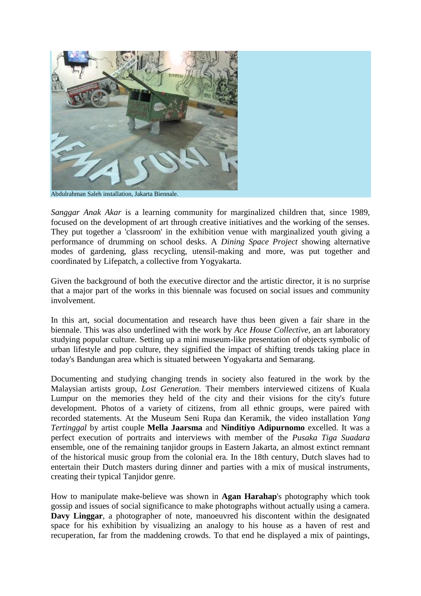

Abdulrahman Saleh installation, Jakarta Biennale.

*Sanggar Anak Akar* is a learning community for marginalized children that, since 1989, focused on the development of art through creative initiatives and the working of the senses. They put together a 'classroom' in the exhibition venue with marginalized youth giving a performance of drumming on school desks. A *Dining Space Project* showing alternative modes of gardening, glass recycling, utensil-making and more, was put together and coordinated by Lifepatch, a collective from Yogyakarta.

Given the background of both the executive director and the artistic director, it is no surprise that a major part of the works in this biennale was focused on social issues and community involvement.

In this art, social documentation and research have thus been given a fair share in the biennale. This was also underlined with the work by *Ace House Collective,* an art laboratory studying popular culture. Setting up a mini museum-like presentation of objects symbolic of urban lifestyle and pop culture, they signified the impact of shifting trends taking place in today's Bandungan area which is situated between Yogyakarta and Semarang.

Documenting and studying changing trends in society also featured in the work by the Malaysian artists group, *Lost Generation*. Their members interviewed citizens of Kuala Lumpur on the memories they held of the city and their visions for the city's future development. Photos of a variety of citizens, from all ethnic groups, were paired with recorded statements. At the Museum Seni Rupa dan Keramik, the video installation *Yang Tertinggal* by artist couple **Mella Jaarsma** and **Ninditiyo Adipurnomo** excelled. It was a perfect execution of portraits and interviews with member of the *Pusaka Tiga Suadara* ensemble, one of the remaining tanjidor groups in Eastern Jakarta, an almost extinct remnant of the historical music group from the colonial era. In the 18th century, Dutch slaves had to entertain their Dutch masters during dinner and parties with a mix of musical instruments, creating their typical Tanjidor genre.

How to manipulate make-believe was shown in **Agan Harahap**'s photography which took gossip and issues of social significance to make photographs without actually using a camera. **Davy Linggar**, a photographer of note, manoeuvred his discontent within the designated space for his exhibition by visualizing an analogy to his house as a haven of rest and recuperation, far from the maddening crowds. To that end he displayed a mix of paintings,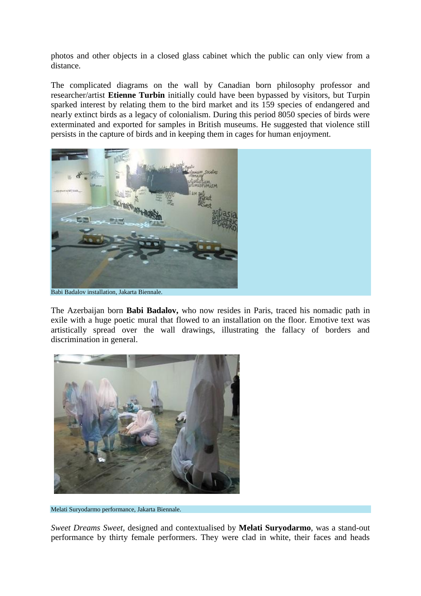photos and other objects in a closed glass cabinet which the public can only view from a distance.

The complicated diagrams on the wall by Canadian born philosophy professor and researcher/artist **Etienne Turbin** initially could have been bypassed by visitors, but Turpin sparked interest by relating them to the bird market and its 159 species of endangered and nearly extinct birds as a legacy of colonialism. During this period 8050 species of birds were exterminated and exported for samples in British museums. He suggested that violence still persists in the capture of birds and in keeping them in cages for human enjoyment.



The Azerbaijan born **Babi Badalov,** who now resides in Paris, traced his nomadic path in exile with a huge poetic mural that flowed to an installation on the floor. Emotive text was artistically spread over the wall drawings, illustrating the fallacy of borders and discrimination in general.



Melati Suryodarmo performance, Jakarta Biennale.

*Sweet Dreams Sweet*, designed and contextualised by **Melati Suryodarmo**, was a stand-out performance by thirty female performers. They were clad in white, their faces and heads